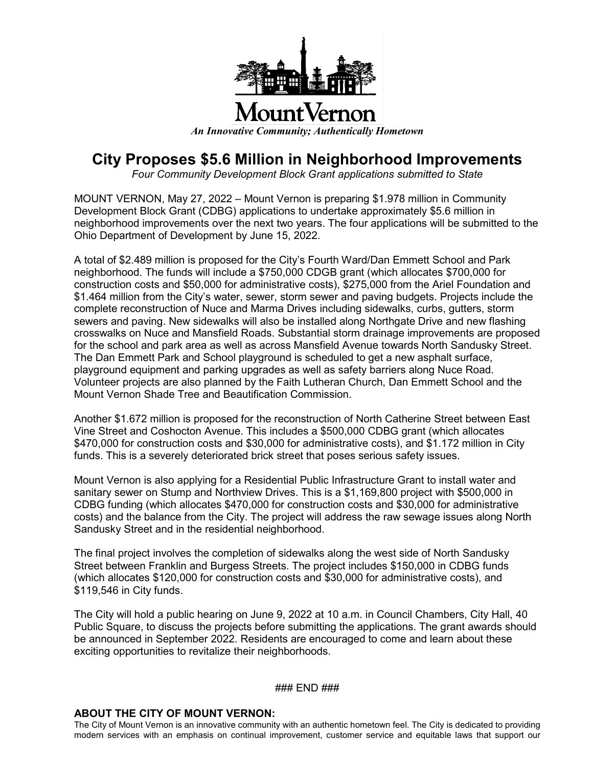

## **City Proposes \$5.6 Million in Neighborhood Improvements**

*Four Community Development Block Grant applications submitted to State*

MOUNT VERNON, May 27, 2022 – Mount Vernon is preparing \$1.978 million in Community Development Block Grant (CDBG) applications to undertake approximately \$5.6 million in neighborhood improvements over the next two years. The four applications will be submitted to the Ohio Department of Development by June 15, 2022.

A total of \$2.489 million is proposed for the City's Fourth Ward/Dan Emmett School and Park neighborhood. The funds will include a \$750,000 CDGB grant (which allocates \$700,000 for construction costs and \$50,000 for administrative costs), \$275,000 from the Ariel Foundation and \$1.464 million from the City's water, sewer, storm sewer and paving budgets. Projects include the complete reconstruction of Nuce and Marma Drives including sidewalks, curbs, gutters, storm sewers and paving. New sidewalks will also be installed along Northgate Drive and new flashing crosswalks on Nuce and Mansfield Roads. Substantial storm drainage improvements are proposed for the school and park area as well as across Mansfield Avenue towards North Sandusky Street. The Dan Emmett Park and School playground is scheduled to get a new asphalt surface, playground equipment and parking upgrades as well as safety barriers along Nuce Road. Volunteer projects are also planned by the Faith Lutheran Church, Dan Emmett School and the Mount Vernon Shade Tree and Beautification Commission.

Another \$1.672 million is proposed for the reconstruction of North Catherine Street between East Vine Street and Coshocton Avenue. This includes a \$500,000 CDBG grant (which allocates \$470,000 for construction costs and \$30,000 for administrative costs), and \$1.172 million in City funds. This is a severely deteriorated brick street that poses serious safety issues.

Mount Vernon is also applying for a Residential Public Infrastructure Grant to install water and sanitary sewer on Stump and Northview Drives. This is a \$1,169,800 project with \$500,000 in CDBG funding (which allocates \$470,000 for construction costs and \$30,000 for administrative costs) and the balance from the City. The project will address the raw sewage issues along North Sandusky Street and in the residential neighborhood.

The final project involves the completion of sidewalks along the west side of North Sandusky Street between Franklin and Burgess Streets. The project includes \$150,000 in CDBG funds (which allocates \$120,000 for construction costs and \$30,000 for administrative costs), and \$119,546 in City funds.

The City will hold a public hearing on June 9, 2022 at 10 a.m. in Council Chambers, City Hall, 40 Public Square, to discuss the projects before submitting the applications. The grant awards should be announced in September 2022. Residents are encouraged to come and learn about these exciting opportunities to revitalize their neighborhoods.

### END ###

## **ABOUT THE CITY OF MOUNT VERNON:**

The City of Mount Vernon is an innovative community with an authentic hometown feel. The City is dedicated to providing modern services with an emphasis on continual improvement, customer service and equitable laws that support our